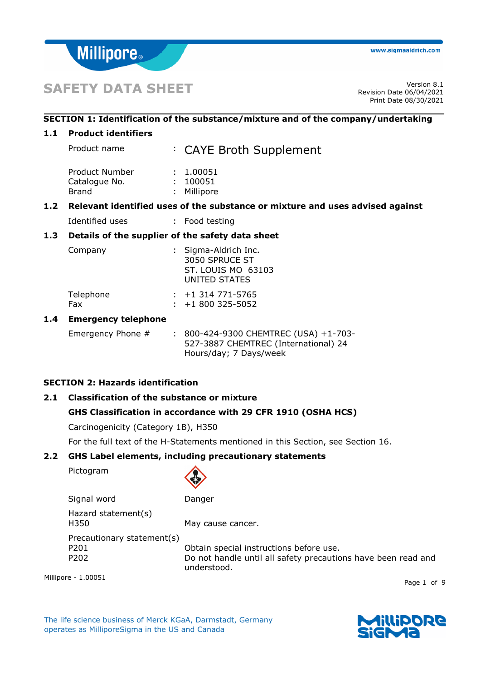

# **SAFETY DATA SHEET** Version 8.1

# **SECTION 1: Identification of the substance/mixture and of the company/undertaking**

#### **1.1 Product identifiers**

| 1.2 |                | Relevant identified uses of the substance or mixture and uses advised against |
|-----|----------------|-------------------------------------------------------------------------------|
|     | Brand          | : Millipore                                                                   |
|     | Catalogue No.  | 100051                                                                        |
|     | Product Number | : 1.00051                                                                     |
|     | Product name   | : CAYE Broth Supplement                                                       |

Identified uses : Food testing

# **1.3 Details of the supplier of the safety data sheet**

| Company          | : Sigma-Aldrich Inc.<br>3050 SPRUCE ST<br>ST. LOUIS MO 63103<br>UNITED STATES |
|------------------|-------------------------------------------------------------------------------|
| Telephone<br>Fax | $: +1314771 - 5765$<br>$: +1800325 - 5052$                                    |

#### **1.4 Emergency telephone**

| Emergency Phone $#$ |  | : 800-424-9300 CHEMTREC (USA) +1-703- |
|---------------------|--|---------------------------------------|
|                     |  | 527-3887 CHEMTREC (International) 24  |
|                     |  | Hours/day; 7 Days/week                |

# **SECTION 2: Hazards identification**

# **2.1 Classification of the substance or mixture**

#### **GHS Classification in accordance with 29 CFR 1910 (OSHA HCS)**

Carcinogenicity (Category 1B), H350

For the full text of the H-Statements mentioned in this Section, see Section 16.

#### **2.2 GHS Label elements, including precautionary statements**

Pictogram



Signal word Danger Hazard statement(s) H350 May cause cancer. Precautionary statement(s) P201 Obtain special instructions before use.

P202 Do not handle until all safety precautions have been read and understood.

Millipore - 1.00051

The life science business of Merck KGaA, Darmstadt, Germany operates as MilliporeSigma in the US and Canada



Page 1 of 9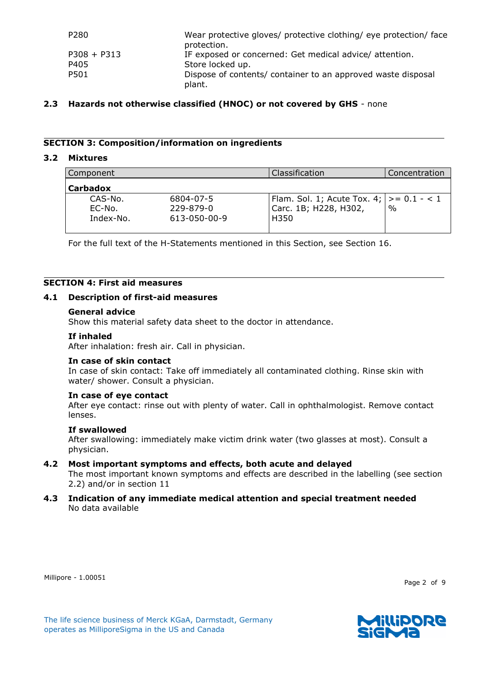| P280          | Wear protective gloves/ protective clothing/ eye protection/ face<br>protection. |
|---------------|----------------------------------------------------------------------------------|
| $P308 + P313$ | IF exposed or concerned: Get medical advice/attention.                           |
| P405          | Store locked up.                                                                 |
| P501          | Dispose of contents/ container to an approved waste disposal<br>plant.           |

#### **2.3 Hazards not otherwise classified (HNOC) or not covered by GHS** - none

#### **SECTION 3: Composition/information on ingredients**

#### **3.2 Mixtures**

| Component                      |                                        | Classification                                                              | Concentration |
|--------------------------------|----------------------------------------|-----------------------------------------------------------------------------|---------------|
| <b>Carbadox</b>                |                                        |                                                                             |               |
| CAS-No.<br>EC-No.<br>Index-No. | 6804-07-5<br>229-879-0<br>613-050-00-9 | Flam. Sol. 1; Acute Tox. 4; $ >= 0.1 - 1$<br>'Carc. 1B; H228, H302,<br>H350 | $\frac{0}{0}$ |

For the full text of the H-Statements mentioned in this Section, see Section 16.

# **SECTION 4: First aid measures**

#### **4.1 Description of first-aid measures**

#### **General advice**

Show this material safety data sheet to the doctor in attendance.

## **If inhaled**

After inhalation: fresh air. Call in physician.

#### **In case of skin contact**

In case of skin contact: Take off immediately all contaminated clothing. Rinse skin with water/ shower. Consult a physician.

#### **In case of eye contact**

After eye contact: rinse out with plenty of water. Call in ophthalmologist. Remove contact lenses.

#### **If swallowed**

After swallowing: immediately make victim drink water (two glasses at most). Consult a physician.

#### **4.2 Most important symptoms and effects, both acute and delayed**

The most important known symptoms and effects are described in the labelling (see section 2.2) and/or in section 11

#### **4.3 Indication of any immediate medical attention and special treatment needed** No data available

Millipore - 1.00051

Page 2 of 9

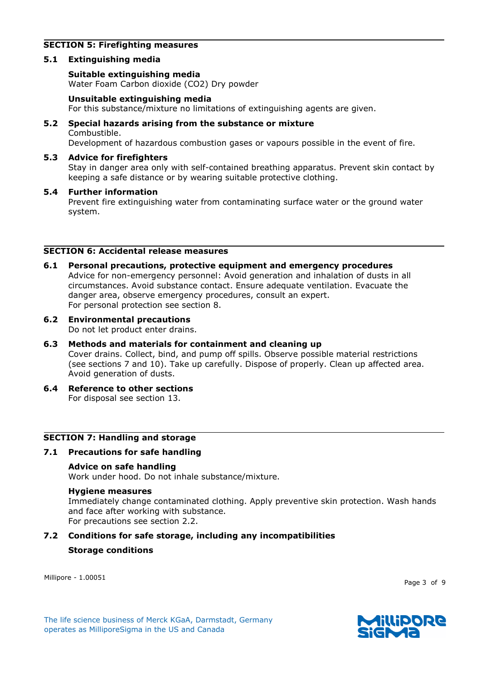# **SECTION 5: Firefighting measures**

#### **5.1 Extinguishing media**

#### **Suitable extinguishing media**

Water Foam Carbon dioxide (CO2) Dry powder

#### **Unsuitable extinguishing media**

For this substance/mixture no limitations of extinguishing agents are given.

# **5.2 Special hazards arising from the substance or mixture** Combustible.

Development of hazardous combustion gases or vapours possible in the event of fire.

#### **5.3 Advice for firefighters**

Stay in danger area only with self-contained breathing apparatus. Prevent skin contact by keeping a safe distance or by wearing suitable protective clothing.

#### **5.4 Further information**

Prevent fire extinguishing water from contaminating surface water or the ground water system.

#### **SECTION 6: Accidental release measures**

- **6.1 Personal precautions, protective equipment and emergency procedures** Advice for non-emergency personnel: Avoid generation and inhalation of dusts in all circumstances. Avoid substance contact. Ensure adequate ventilation. Evacuate the danger area, observe emergency procedures, consult an expert. For personal protection see section 8.
- **6.2 Environmental precautions**

Do not let product enter drains.

# **6.3 Methods and materials for containment and cleaning up**

Cover drains. Collect, bind, and pump off spills. Observe possible material restrictions (see sections 7 and 10). Take up carefully. Dispose of properly. Clean up affected area. Avoid generation of dusts.

# **6.4 Reference to other sections**

For disposal see section 13.

## **SECTION 7: Handling and storage**

**7.1 Precautions for safe handling**

#### **Advice on safe handling**

Work under hood. Do not inhale substance/mixture.

#### **Hygiene measures**

Immediately change contaminated clothing. Apply preventive skin protection. Wash hands and face after working with substance.

For precautions see section 2.2.

# **7.2 Conditions for safe storage, including any incompatibilities**

#### **Storage conditions**

Millipore - 1.00051

Page 3 of 9

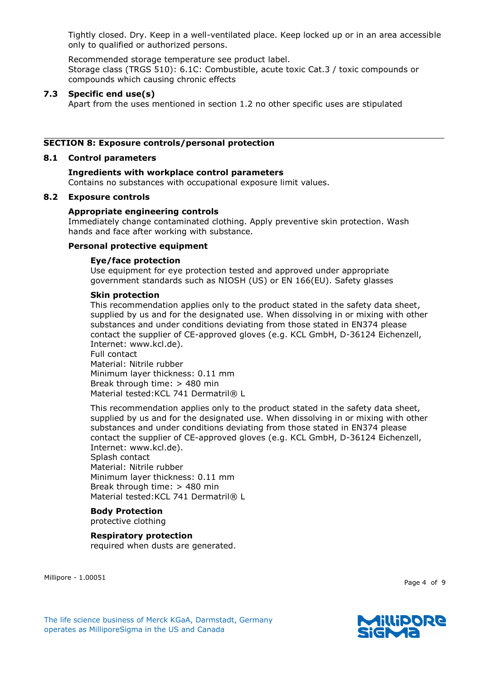Tightly closed. Dry. Keep in a well-ventilated place. Keep locked up or in an area accessible only to qualified or authorized persons.

Recommended storage temperature see product label. Storage class (TRGS 510): 6.1C: Combustible, acute toxic Cat.3 / toxic compounds or compounds which causing chronic effects

# **7.3 Specific end use(s)**

Apart from the uses mentioned in section 1.2 no other specific uses are stipulated

#### **SECTION 8: Exposure controls/personal protection**

#### **8.1 Control parameters**

# **Ingredients with workplace control parameters**

Contains no substances with occupational exposure limit values.

#### **8.2 Exposure controls**

#### **Appropriate engineering controls**

Immediately change contaminated clothing. Apply preventive skin protection. Wash hands and face after working with substance.

#### **Personal protective equipment**

#### **Eye/face protection**

Use equipment for eye protection tested and approved under appropriate government standards such as NIOSH (US) or EN 166(EU). Safety glasses

#### **Skin protection**

This recommendation applies only to the product stated in the safety data sheet, supplied by us and for the designated use. When dissolving in or mixing with other substances and under conditions deviating from those stated in EN374 please contact the supplier of CE-approved gloves (e.g. KCL GmbH, D-36124 Eichenzell, Internet: www.kcl.de).

Full contact Material: Nitrile rubber Minimum layer thickness: 0.11 mm Break through time: > 480 min Material tested: KCL 741 Dermatril® L

This recommendation applies only to the product stated in the safety data sheet, supplied by us and for the designated use. When dissolving in or mixing with other substances and under conditions deviating from those stated in EN374 please contact the supplier of CE-approved gloves (e.g. KCL GmbH, D-36124 Eichenzell, Internet: www.kcl.de).

Splash contact Material: Nitrile rubber Minimum layer thickness: 0.11 mm Break through time: > 480 min Material tested: KCL 741 Dermatril® L

# **Body Protection**

protective clothing

# **Respiratory protection**

required when dusts are generated.

Millipore - 1.00051

Page 4 of 9



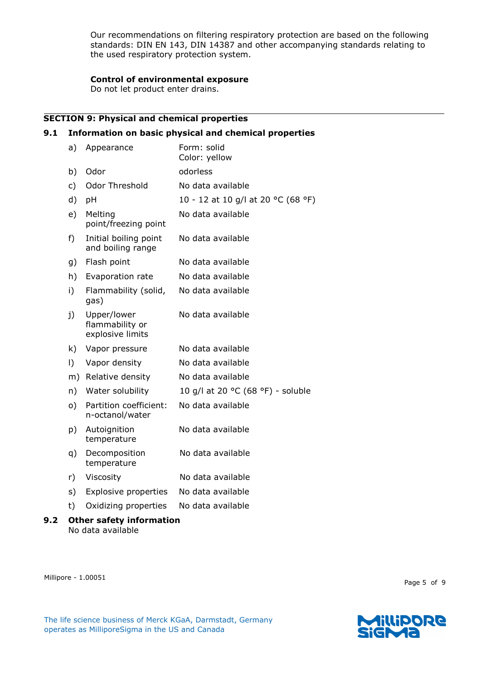Our recommendations on filtering respiratory protection are based on the following standards: DIN EN 143, DIN 14387 and other accompanying standards relating to the used respiratory protection system.

# **Control of environmental exposure**

Do not let product enter drains.

# **SECTION 9: Physical and chemical properties**

#### **9.1 Information on basic physical and chemical properties**

|     | a)       | Appearance                                         | Form: solid<br>Color: yellow       |
|-----|----------|----------------------------------------------------|------------------------------------|
|     | b)       | Odor                                               | odorless                           |
|     | c)       | Odor Threshold                                     | No data available                  |
|     | d)       | pH                                                 | 10 - 12 at 10 g/l at 20 °C (68 °F) |
|     | e)       | Melting<br>point/freezing point                    | No data available                  |
|     | f)       | Initial boiling point<br>and boiling range         | No data available                  |
|     | g)       | Flash point                                        | No data available                  |
|     | h)       | Evaporation rate                                   | No data available                  |
|     | i)       | Flammability (solid,<br>gas)                       | No data available                  |
|     | j)       | Upper/lower<br>flammability or<br>explosive limits | No data available                  |
|     | k)       | Vapor pressure                                     | No data available                  |
|     | I)       | Vapor density                                      | No data available                  |
|     | m)       | Relative density                                   | No data available                  |
|     | n)       | Water solubility                                   | 10 g/l at 20 °C (68 °F) - soluble  |
|     | $\circ)$ | Partition coefficient:<br>n-octanol/water          | No data available                  |
|     | p)       | Autoignition<br>temperature                        | No data available                  |
|     | q)       | Decomposition<br>temperature                       | No data available                  |
|     | r)       | Viscosity                                          | No data available                  |
|     | s)       | <b>Explosive properties</b>                        | No data available                  |
|     | t)       | Oxidizing properties                               | No data available                  |
| 9.2 |          | <b>Other safety information</b>                    |                                    |

No data available

Millipore - 1.00051

Page 5 of 9

The life science business of Merck KGaA, Darmstadt, Germany operates as MilliporeSigma in the US and Canada

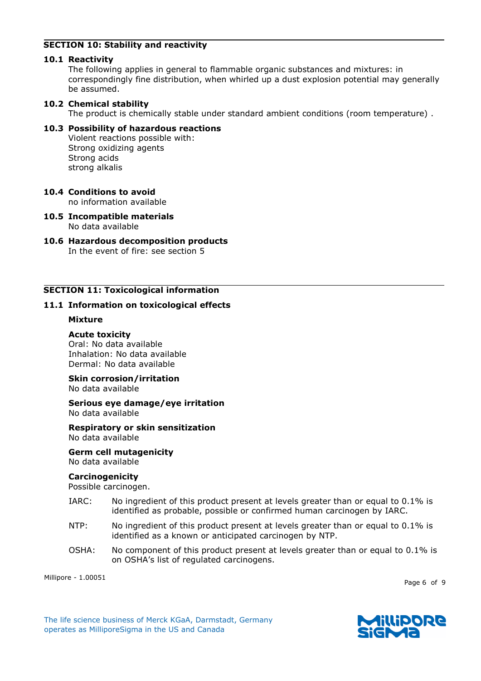# **SECTION 10: Stability and reactivity**

#### **10.1 Reactivity**

The following applies in general to flammable organic substances and mixtures: in correspondingly fine distribution, when whirled up a dust explosion potential may generally be assumed.

## **10.2 Chemical stability**

The product is chemically stable under standard ambient conditions (room temperature) .

# **10.3 Possibility of hazardous reactions**

Violent reactions possible with: Strong oxidizing agents Strong acids strong alkalis

# **10.4 Conditions to avoid**

no information available

**10.5 Incompatible materials** No data available

#### **10.6 Hazardous decomposition products** In the event of fire: see section 5

# **SECTION 11: Toxicological information**

# **11.1 Information on toxicological effects**

# **Mixture**

# **Acute toxicity**

Oral: No data available Inhalation: No data available Dermal: No data available

# **Skin corrosion/irritation**

No data available

**Serious eye damage/eye irritation** No data available

#### **Respiratory or skin sensitization** No data available

**Germ cell mutagenicity** No data available

#### **Carcinogenicity**

Possible carcinogen.

- IARC: No ingredient of this product present at levels greater than or equal to 0.1% is identified as probable, possible or confirmed human carcinogen by IARC.
- NTP: No ingredient of this product present at levels greater than or equal to 0.1% is identified as a known or anticipated carcinogen by NTP.
- OSHA: No component of this product present at levels greater than or equal to 0.1% is on OSHA's list of regulated carcinogens.

Millipore - 1.00051

Page 6 of 9

The life science business of Merck KGaA, Darmstadt, Germany operates as MilliporeSigma in the US and Canada

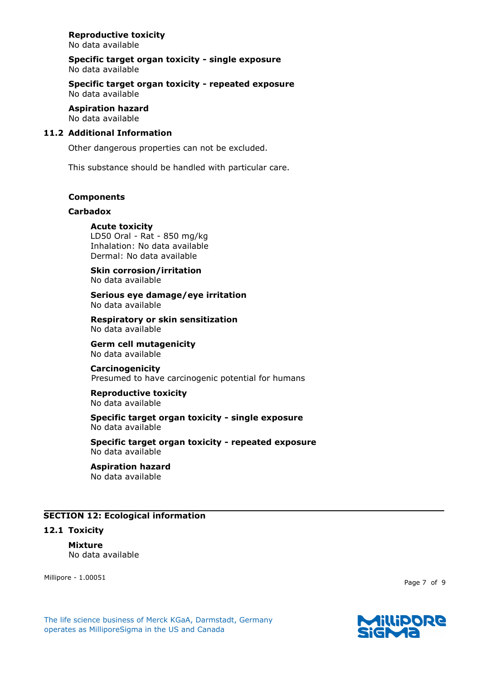# **Reproductive toxicity**

No data available

**Specific target organ toxicity - single exposure** No data available

**Specific target organ toxicity - repeated exposure** No data available

#### **Aspiration hazard** No data available

#### **11.2 Additional Information**

Other dangerous properties can not be excluded.

This substance should be handled with particular care.

#### **Components**

#### **Carbadox**

#### **Acute toxicity**

LD50 Oral - Rat - 850 mg/kg Inhalation: No data available Dermal: No data available

#### **Skin corrosion/irritation** No data available

**Serious eye damage/eye irritation** No data available

**Respiratory or skin sensitization** No data available

**Germ cell mutagenicity** No data available

# **Carcinogenicity**

Presumed to have carcinogenic potential for humans

**Reproductive toxicity** No data available

#### **Specific target organ toxicity - single exposure** No data available

**Specific target organ toxicity - repeated exposure** No data available

# **Aspiration hazard**

No data available

#### **SECTION 12: Ecological information**

#### **12.1 Toxicity**

# **Mixture**

No data available

Millipore - 1.00051

Page 7 of 9



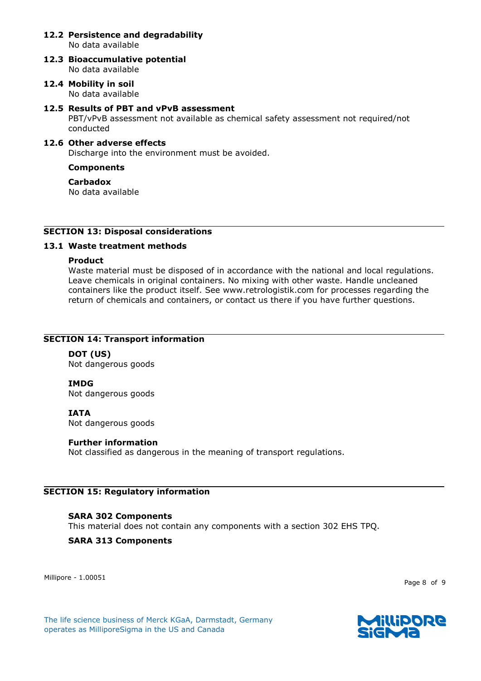#### **12.2 Persistence and degradability** No data available

- **12.3 Bioaccumulative potential** No data available
- **12.4 Mobility in soil** No data available

#### **12.5 Results of PBT and vPvB assessment**

PBT/vPvB assessment not available as chemical safety assessment not required/not conducted

# **12.6 Other adverse effects**

Discharge into the environment must be avoided.

#### **Components**

#### **Carbadox**

No data available

# **SECTION 13: Disposal considerations**

#### **13.1 Waste treatment methods**

#### **Product**

Waste material must be disposed of in accordance with the national and local regulations. Leave chemicals in original containers. No mixing with other waste. Handle uncleaned containers like the product itself. See www.retrologistik.com for processes regarding the return of chemicals and containers, or contact us there if you have further questions.

#### **SECTION 14: Transport information**

# **DOT (US)**

Not dangerous goods

#### **IMDG**

Not dangerous goods

#### **IATA**

Not dangerous goods

#### **Further information**

Not classified as dangerous in the meaning of transport regulations.

#### **SECTION 15: Regulatory information**

#### **SARA 302 Components**

This material does not contain any components with a section 302 EHS TPQ.

#### **SARA 313 Components**

Millipore - 1.00051

Page 8 of 9